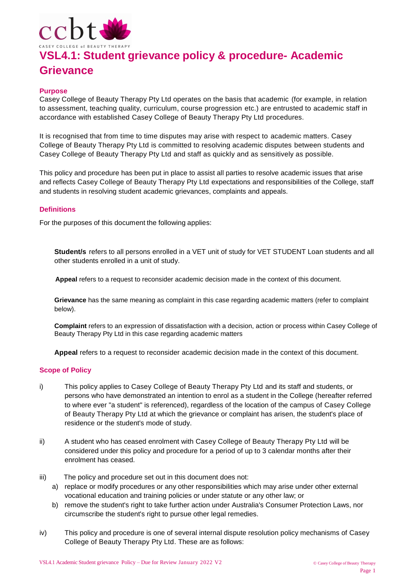

### **Purpose**

Casey College of Beauty Therapy Pty Ltd operates on the basis that academic (for example, in relation to assessment, teaching quality, curriculum, course progression etc.) are entrusted to academic staff in accordance with established Casey College of Beauty Therapy Pty Ltd procedures.

It is recognised that from time to time disputes may arise with respect to academic matters. Casey College of Beauty Therapy Pty Ltd is committed to resolving academic disputes between students and Casey College of Beauty Therapy Pty Ltd and staff as quickly and as sensitively as possible.

This policy and procedure has been put in place to assist all parties to resolve academic issues that arise and reflects Casey College of Beauty Therapy Pty Ltd expectations and responsibilities of the College, staff and students in resolving student academic grievances, complaints and appeals.

### **Definitions**

For the purposes of this document the following applies:

**Student/s** refers to all persons enrolled in a VET unit of study for VET STUDENT Loan students and all other students enrolled in a unit of study.

**Appeal** refers to a request to reconsider academic decision made in the context of this document.

**Grievance** has the same meaning as complaint in this case regarding academic matters (refer to complaint below).

**Complaint** refers to an expression of dissatisfaction with a decision, action or process within Casey College of Beauty Therapy Pty Ltd in this case regarding academic matters

**Appeal** refers to a request to reconsider academic decision made in the context of this document.

### **Scope of Policy**

- i) This policy applies to Casey College of Beauty Therapy Pty Ltd and its staff and students, or persons who have demonstrated an intention to enrol as a student in the College (hereafter referred to where ever "a student" is referenced), regardless of the location of the campus of Casey College of Beauty Therapy Pty Ltd at which the grievance or complaint has arisen, the student's place of residence or the student's mode of study.
- ii) A student who has ceased enrolment with Casey College of Beauty Therapy Pty Ltd will be considered under this policy and procedure for a period of up to 3 calendar months after their enrolment has ceased.
- iii) The policy and procedure set out in this document does not:
	- a) replace or modify procedures or any other responsibilities which may arise under other external vocational education and training policies or under statute or any other law; or
	- b) remove the student's right to take further action under Australia's Consumer Protection Laws, nor circumscribe the student's right to pursue other legal remedies.
- iv) This policy and procedure is one of several internal dispute resolution policy mechanisms of Casey College of Beauty Therapy Pty Ltd. These are as follows: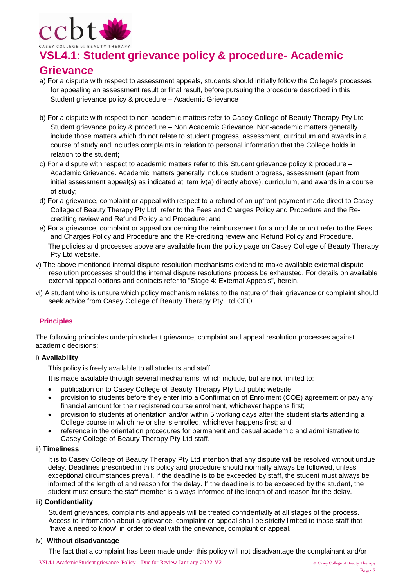

### **Grievance**

- a) For a dispute with respect to assessment appeals, students should initially follow the College's processes for appealing an assessment result or final result, before pursuing the procedure described in this Student grievance policy & procedure – Academic Grievance
- b) For a dispute with respect to non-academic matters refer to Casey College of Beauty Therapy Pty Ltd Student grievance policy & procedure – Non Academic Grievance. Non-academic matters generally include those matters which do not relate to student progress, assessment, curriculum and awards in a course of study and includes complaints in relation to personal information that the College holds in relation to the student;
- c) For a dispute with respect to academic matters refer to this Student grievance policy & procedure Academic Grievance. Academic matters generally include student progress, assessment (apart from initial assessment appeal(s) as indicated at item iv(a) directly above), curriculum, and awards in a course of study;
- d) For a grievance, complaint or appeal with respect to a refund of an upfront payment made direct to Casey College of Beauty Therapy Pty Ltd refer to the Fees and Charges Policy and Procedure and the Recrediting review and Refund Policy and Procedure; and
- e) For a grievance, complaint or appeal concerning the reimbursement for a module or unit refer to the Fees and Charges Policy and Procedure and the Re-crediting review and Refund Policy and Procedure. The policies and processes above are available from the policy page on Casey College of Beauty Therapy Pty Ltd website.
- v) The above mentioned internal dispute resolution mechanisms extend to make available external dispute resolution processes should the internal dispute resolutions process be exhausted. For details on available external appeal options and contacts refer to "Stage 4: External Appeals", herein.
- vi) A student who is unsure which policy mechanism relates to the nature of their grievance or complaint should seek advice from Casey College of Beauty Therapy Pty Ltd CEO.

### **Principles**

The following principles underpin student grievance, complaint and appeal resolution processes against academic decisions:

### i) **Availability**

This policy is freely available to all students and staff.

- It is made available through several mechanisms, which include, but are not limited to:
- publication on to Casey College of Beauty Therapy Pty Ltd public website;
- provision to students before they enter into a Confirmation of Enrolment (COE) agreement or pay any financial amount for their registered course enrolment, whichever happens first;
- provision to students at orientation and/or within 5 working days after the student starts attending a College course in which he or she is enrolled, whichever happens first; and
- reference in the orientation procedures for permanent and casual academic and administrative to Casey College of Beauty Therapy Pty Ltd staff.

### ii) **Timeliness**

It is to Casey College of Beauty Therapy Pty Ltd intention that any dispute will be resolved without undue delay. Deadlines prescribed in this policy and procedure should normally always be followed, unless exceptional circumstances prevail. If the deadline is to be exceeded by staff, the student must always be informed of the length of and reason for the delay. If the deadline is to be exceeded by the student, the student must ensure the staff member is always informed of the length of and reason for the delay.

### iii) **Confidentiality**

Student grievances, complaints and appeals will be treated confidentially at all stages of the process. Access to information about a grievance, complaint or appeal shall be strictly limited to those staff that "have a need to know" in order to deal with the grievance, complaint or appeal.

### iv) **Without disadvantage**

The fact that a complaint has been made under this policy will not disadvantage the complainant and/or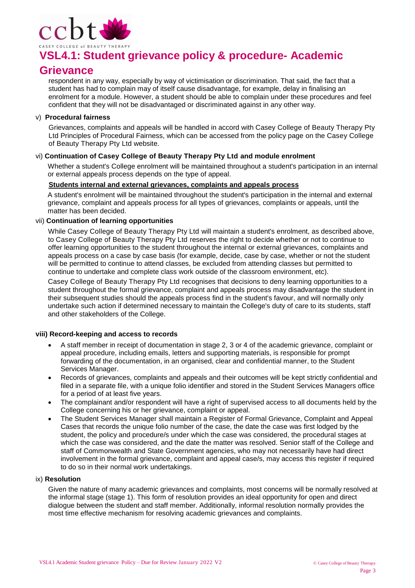

### **Grievance**

respondent in any way, especially by way of victimisation or discrimination. That said, the fact that a student has had to complain may of itself cause disadvantage, for example, delay in finalising an enrolment for a module. However, a student should be able to complain under these procedures and feel confident that they will not be disadvantaged or discriminated against in any other way.

### v) **Procedural fairness**

Grievances, complaints and appeals will be handled in accord with Casey College of Beauty Therapy Pty Ltd Principles of Procedural Fairness, which can be accessed from the policy page on the Casey College of Beauty Therapy Pty Ltd website.

### vi) **Continuation of Casey College of Beauty Therapy Pty Ltd and module enrolment**

Whether a student's College enrolment will be maintained throughout a student's participation in an internal or external appeals process depends on the type of appeal.

### **Students internal and external grievances, complaints and appeals process**

A student's enrolment will be maintained throughout the student's participation in the internal and external grievance, complaint and appeals process for all types of grievances, complaints or appeals, until the matter has been decided.

### vii) **Continuation of learning opportunities**

While Casey College of Beauty Therapy Pty Ltd will maintain a student's enrolment, as described above, to Casey College of Beauty Therapy Pty Ltd reserves the right to decide whether or not to continue to offer learning opportunities to the student throughout the internal or external grievances, complaints and appeals process on a case by case basis (for example, decide, case by case, whether or not the student will be permitted to continue to attend classes, be excluded from attending classes but permitted to continue to undertake and complete class work outside of the classroom environment, etc).

Casey College of Beauty Therapy Pty Ltd recognises that decisions to deny learning opportunities to a student throughout the formal grievance, complaint and appeals process may disadvantage the student in their subsequent studies should the appeals process find in the student's favour, and will normally only undertake such action if determined necessary to maintain the College's duty of care to its students, staff and other stakeholders of the College.

### **viii) Record-keeping and access to records**

- A staff member in receipt of documentation in stage 2, 3 or 4 of the academic grievance, complaint or appeal procedure, including emails, letters and supporting materials, is responsible for prompt forwarding of the documentation, in an organised, clear and confidential manner, to the Student Services Manager.
- Records of grievances, complaints and appeals and their outcomes will be kept strictly confidential and filed in a separate file, with a unique folio identifier and stored in the Student Services Managers office for a period of at least five years.
- The complainant and/or respondent will have a right of supervised access to all documents held by the College concerning his or her grievance, complaint or appeal.
- The Student Services Manager shall maintain a Register of Formal Grievance, Complaint and Appeal Cases that records the unique folio number of the case, the date the case was first lodged by the student, the policy and procedure/s under which the case was considered, the procedural stages at which the case was considered, and the date the matter was resolved. Senior staff of the College and staff of Commonwealth and State Government agencies, who may not necessarily have had direct involvement in the formal grievance, complaint and appeal case/s, may access this register if required to do so in their normal work undertakings.

#### ix) **Resolution**

Given the nature of many academic grievances and complaints, most concerns will be normally resolved at the informal stage (stage 1). This form of resolution provides an ideal opportunity for open and direct dialogue between the student and staff member. Additionally, informal resolution normally provides the most time effective mechanism for resolving academic grievances and complaints.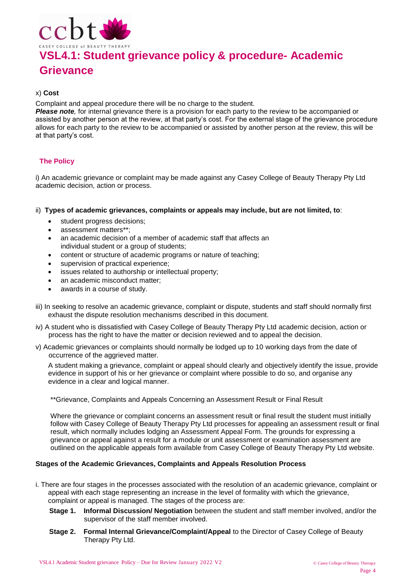

### **Grievance**

### x) **Cost**

Complaint and appeal procedure there will be no charge to the student.

*Please note,* for internal grievance there is a provision for each party to the review to be accompanied or assisted by another person at the review, at that party's cost. For the external stage of the grievance procedure allows for each party to the review to be accompanied or assisted by another person at the review, this will be at that party's cost.

### **The Policy**

i) An academic grievance or complaint may be made against any Casey College of Beauty Therapy Pty Ltd academic decision, action or process.

- ii) **Types of academic grievances, complaints or appeals may include, but are not limited, to**:
	- student progress decisions;
	- assessment matters\*\*;
	- an academic decision of a member of academic staff that affects an individual student or a group of students;
	- content or structure of academic programs or nature of teaching;
	- supervision of practical experience;
	- issues related to authorship or intellectual property;
	- an academic misconduct matter;
	- awards in a course of study.
- iii) In seeking to resolve an academic grievance, complaint or dispute, students and staff should normally first exhaust the dispute resolution mechanisms described in this document.
- iv) A student who is dissatisfied with Casey College of Beauty Therapy Pty Ltd academic decision, action or process has the right to have the matter or decision reviewed and to appeal the decision.
- v) Academic grievances or complaints should normally be lodged up to 10 working days from the date of occurrence of the aggrieved matter.

A student making a grievance, complaint or appeal should clearly and objectively identify the issue, provide evidence in support of his or her grievance or complaint where possible to do so, and organise any evidence in a clear and logical manner.

\*\*Grievance, Complaints and Appeals Concerning an Assessment Result or Final Result

Where the grievance or complaint concerns an assessment result or final result the student must initially follow with Casey College of Beauty Therapy Pty Ltd processes for appealing an assessment result or final result, which normally includes lodging an Assessment Appeal Form. The grounds for expressing a grievance or appeal against a result for a module or unit assessment or examination assessment are outlined on the applicable appeals form available from Casey College of Beauty Therapy Pty Ltd website.

### **Stages of the Academic Grievances, Complaints and Appeals Resolution Process**

- i. There are four stages in the processes associated with the resolution of an academic grievance, complaint or appeal with each stage representing an increase in the level of formality with which the grievance, complaint or appeal is managed. The stages of the process are:
	- **Stage 1. Informal Discussion/ Negotiation** between the student and staff member involved, and/or the supervisor of the staff member involved.
	- **Stage 2. Formal Internal Grievance/Complaint/Appeal** to the Director of Casey College of Beauty Therapy Pty Ltd.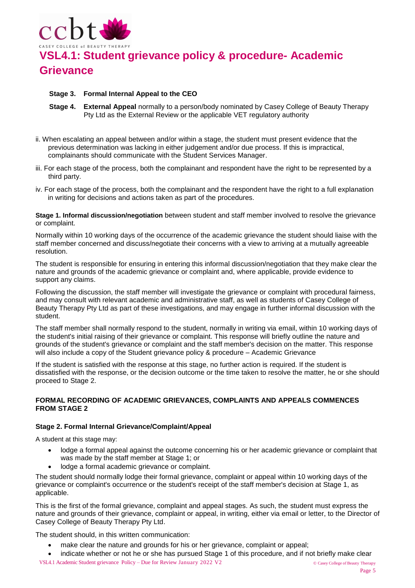

### **Stage 3. Formal Internal Appeal to the CEO**

- **Stage 4. External Appeal** normally to a person/body nominated by Casey College of Beauty Therapy Pty Ltd as the External Review or the applicable VET regulatory authority
- ii. When escalating an appeal between and/or within a stage, the student must present evidence that the previous determination was lacking in either judgement and/or due process. If this is impractical, complainants should communicate with the Student Services Manager.
- iii. For each stage of the process, both the complainant and respondent have the right to be represented by a third party.
- iv. For each stage of the process, both the complainant and the respondent have the right to a full explanation in writing for decisions and actions taken as part of the procedures.

**Stage 1. Informal discussion/negotiation** between student and staff member involved to resolve the grievance or complaint.

Normally within 10 working days of the occurrence of the academic grievance the student should liaise with the staff member concerned and discuss/negotiate their concerns with a view to arriving at a mutually agreeable resolution.

The student is responsible for ensuring in entering this informal discussion/negotiation that they make clear the nature and grounds of the academic grievance or complaint and, where applicable, provide evidence to support any claims.

Following the discussion, the staff member will investigate the grievance or complaint with procedural fairness, and may consult with relevant academic and administrative staff, as well as students of Casey College of Beauty Therapy Pty Ltd as part of these investigations, and may engage in further informal discussion with the student.

The staff member shall normally respond to the student, normally in writing via email, within 10 working days of the student's initial raising of their grievance or complaint. This response will briefly outline the nature and grounds of the student's grievance or complaint and the staff member's decision on the matter. This response will also include a copy of the Student grievance policy & procedure – Academic Grievance

If the student is satisfied with the response at this stage, no further action is required. If the student is dissatisfied with the response, or the decision outcome or the time taken to resolve the matter, he or she should proceed to Stage 2.

### **FORMAL RECORDING OF ACADEMIC GRIEVANCES, COMPLAINTS AND APPEALS COMMENCES FROM STAGE 2**

### **Stage 2. Formal Internal Grievance/Complaint/Appeal**

A student at this stage may:

- lodge a formal appeal against the outcome concerning his or her academic grievance or complaint that was made by the staff member at Stage 1; or
- lodge a formal academic grievance or complaint.

The student should normally lodge their formal grievance, complaint or appeal within 10 working days of the grievance or complaint's occurrence or the student's receipt of the staff member's decision at Stage 1, as applicable.

This is the first of the formal grievance, complaint and appeal stages. As such, the student must express the nature and grounds of their grievance, complaint or appeal, in writing, either via email or letter, to the Director of Casey College of Beauty Therapy Pty Ltd.

The student should, in this written communication:

- make clear the nature and grounds for his or her grievance, complaint or appeal;
- indicate whether or not he or she has pursued Stage 1 of this procedure, and if not briefly make clear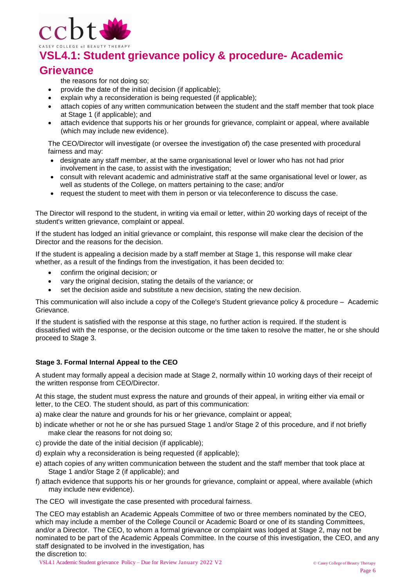

### **Grievance**

the reasons for not doing so;

- provide the date of the initial decision (if applicable);
- explain why a reconsideration is being requested (if applicable);
- attach copies of any written communication between the student and the staff member that took place at Stage 1 (if applicable); and
- attach evidence that supports his or her grounds for grievance, complaint or appeal, where available (which may include new evidence).

The CEO/Director will investigate (or oversee the investigation of) the case presented with procedural fairness and may:

- designate any staff member, at the same organisational level or lower who has not had prior involvement in the case, to assist with the investigation;
- consult with relevant academic and administrative staff at the same organisational level or lower, as well as students of the College, on matters pertaining to the case; and/or
- request the student to meet with them in person or via teleconference to discuss the case.

The Director will respond to the student, in writing via email or letter, within 20 working days of receipt of the student's written grievance, complaint or appeal.

If the student has lodged an initial grievance or complaint, this response will make clear the decision of the Director and the reasons for the decision.

If the student is appealing a decision made by a staff member at Stage 1, this response will make clear whether, as a result of the findings from the investigation, it has been decided to:

- confirm the original decision; or
- vary the original decision, stating the details of the variance; or
- set the decision aside and substitute a new decision, stating the new decision.

This communication will also include a copy of the College's Student grievance policy & procedure – Academic Grievance.

If the student is satisfied with the response at this stage, no further action is required. If the student is dissatisfied with the response, or the decision outcome or the time taken to resolve the matter, he or she should proceed to Stage 3.

### **Stage 3. Formal Internal Appeal to the CEO**

A student may formally appeal a decision made at Stage 2, normally within 10 working days of their receipt of the written response from CEO/Director.

At this stage, the student must express the nature and grounds of their appeal, in writing either via email or letter, to the CEO. The student should, as part of this communication:

- a) make clear the nature and grounds for his or her grievance, complaint or appeal;
- b) indicate whether or not he or she has pursued Stage 1 and/or Stage 2 of this procedure, and if not briefly make clear the reasons for not doing so;
- c) provide the date of the initial decision (if applicable);
- d) explain why a reconsideration is being requested (if applicable);
- e) attach copies of any written communication between the student and the staff member that took place at Stage 1 and/or Stage 2 (if applicable); and
- f) attach evidence that supports his or her grounds for grievance, complaint or appeal, where available (which may include new evidence).
- The CEO will investigate the case presented with procedural fairness.

The CEO may establish an Academic Appeals Committee of two or three members nominated by the CEO, which may include a member of the College Council or Academic Board or one of its standing Committees, and/or a Director. The CEO, to whom a formal grievance or complaint was lodged at Stage 2, may not be nominated to be part of the Academic Appeals Committee. In the course of this investigation, the CEO, and any staff designated to be involved in the investigation, has the discretion to: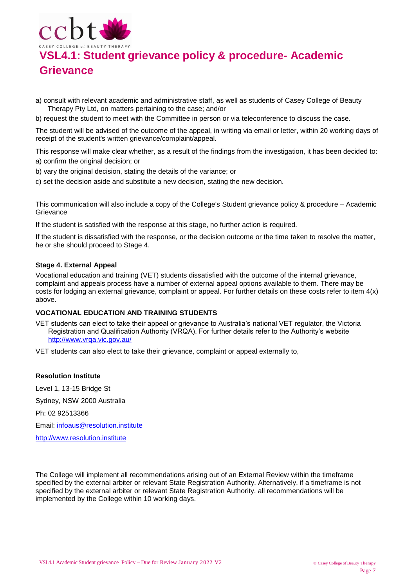

- a) consult with relevant academic and administrative staff, as well as students of Casey College of Beauty Therapy Pty Ltd, on matters pertaining to the case; and/or
- b) request the student to meet with the Committee in person or via teleconference to discuss the case.

The student will be advised of the outcome of the appeal, in writing via email or letter, within 20 working days of receipt of the student's written grievance/complaint/appeal.

This response will make clear whether, as a result of the findings from the investigation, it has been decided to: a) confirm the original decision; or

- b) vary the original decision, stating the details of the variance; or
- c) set the decision aside and substitute a new decision, stating the new decision.

This communication will also include a copy of the College's Student grievance policy & procedure – Academic **Grievance** 

If the student is satisfied with the response at this stage, no further action is required.

If the student is dissatisfied with the response, or the decision outcome or the time taken to resolve the matter, he or she should proceed to Stage 4.

### **Stage 4. External Appeal**

Vocational education and training (VET) students dissatisfied with the outcome of the internal grievance, complaint and appeals process have a number of external appeal options available to them. There may be costs for lodging an external grievance, complaint or appeal. For further details on these costs refer to item 4(x) above.

### **VOCATIONAL EDUCATION AND TRAINING STUDENTS**

VET students can elect to take their appeal or grievance to Australia's national VET regulator, the Victoria Registration and Qualification Authority (VRQA). For further details refer to the Authority's website <http://www.vrqa.vic.gov.au/>

VET students can also elect to take their grievance, complaint or appeal externally to,

#### **Resolution Institute**

Level 1, 13-15 Bridge St Sydney, NSW 2000 Australia Ph: 02 92513366 Email: [infoaus@resolution.institute](mailto:infoaus@resolution.institute) [http://www.resolution.institute](http://www.resolution.institute/)

The College will implement all recommendations arising out of an External Review within the timeframe specified by the external arbiter or relevant State Registration Authority. Alternatively, if a timeframe is not specified by the external arbiter or relevant State Registration Authority, all recommendations will be implemented by the College within 10 working days.